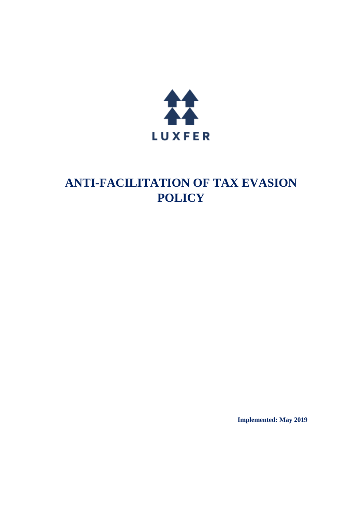

# **ANTI-FACILITATION OF TAX EVASION POLICY**

**Implemented: May 2019**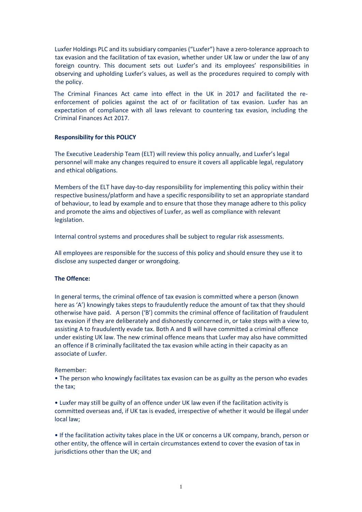Luxfer Holdings PLC and its subsidiary companies ("Luxfer") have a zero-tolerance approach to tax evasion and the facilitation of tax evasion, whether under UK law or under the law of any foreign country. This document sets out Luxfer's and its employees' responsibilities in observing and upholding Luxfer's values, as well as the procedures required to comply with the policy.

The Criminal Finances Act came into effect in the UK in 2017 and facilitated the reenforcement of policies against the act of or facilitation of tax evasion. Luxfer has an expectation of compliance with all laws relevant to countering tax evasion, including the Criminal Finances Act 2017.

## **Responsibility for this POLICY**

The Executive Leadership Team (ELT) will review this policy annually, and Luxfer's legal personnel will make any changes required to ensure it covers all applicable legal, regulatory and ethical obligations.

Members of the ELT have day-to-day responsibility for implementing this policy within their respective business/platform and have a specific responsibility to set an appropriate standard of behaviour, to lead by example and to ensure that those they manage adhere to this policy and promote the aims and objectives of Luxfer, as well as compliance with relevant legislation.

Internal control systems and procedures shall be subject to regular risk assessments.

All employees are responsible for the success of this policy and should ensure they use it to disclose any suspected danger or wrongdoing.

## **The Offence:**

In general terms, the criminal offence of tax evasion is committed where a person (known here as 'A') knowingly takes steps to fraudulently reduce the amount of tax that they should otherwise have paid. A person ('B') commits the criminal offence of facilitation of fraudulent tax evasion if they are deliberately and dishonestly concerned in, or take steps with a view to, assisting A to fraudulently evade tax. Both A and B will have committed a criminal offence under existing UK law. The new criminal offence means that Luxfer may also have committed an offence if B criminally facilitated the tax evasion while acting in their capacity as an associate of Luxfer.

## Remember:

• The person who knowingly facilitates tax evasion can be as guilty as the person who evades the tax;

• Luxfer may still be guilty of an offence under UK law even if the facilitation activity is committed overseas and, if UK tax is evaded, irrespective of whether it would be illegal under local law;

• If the facilitation activity takes place in the UK or concerns a UK company, branch, person or other entity, the offence will in certain circumstances extend to cover the evasion of tax in jurisdictions other than the UK; and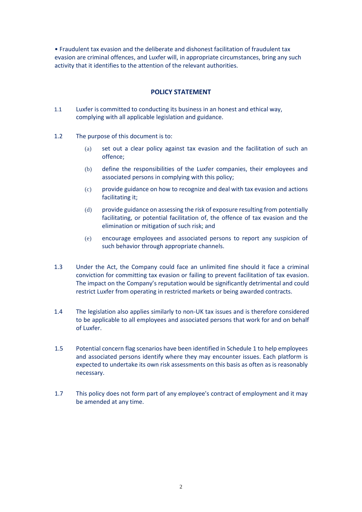• Fraudulent tax evasion and the deliberate and dishonest facilitation of fraudulent tax evasion are criminal offences, and Luxfer will, in appropriate circumstances, bring any such activity that it identifies to the attention of the relevant authorities.

## **POLICY STATEMENT**

- 1.1 Luxfer is committed to conducting its business in an honest and ethical way, complying with all applicable legislation and guidance.
- 1.2 The purpose of this document is to:
	- (a) set out a clear policy against tax evasion and the facilitation of such an offence;
	- (b) define the responsibilities of the Luxfer companies, their employees and associated persons in complying with this policy;
	- (c) provide guidance on how to recognize and deal with tax evasion and actions facilitating it;
	- (d) provide guidance on assessing the risk of exposure resulting from potentially facilitating, or potential facilitation of, the offence of tax evasion and the elimination or mitigation of such risk; and
	- (e) encourage employees and associated persons to report any suspicion of such behavior through appropriate channels.
- 1.3 Under the Act, the Company could face an unlimited fine should it face a criminal conviction for committing tax evasion or failing to prevent facilitation of tax evasion. The impact on the Company's reputation would be significantly detrimental and could restrict Luxfer from operating in restricted markets or being awarded contracts.
- 1.4 The legislation also applies similarly to non-UK tax issues and is therefore considered to be applicable to all employees and associated persons that work for and on behalf of Luxfer.
- 1.5 Potential concern flag scenarios have been identified in Schedule 1 to help employees and associated persons identify where they may encounter issues. Each platform is expected to undertake its own risk assessments on this basis as often as is reasonably necessary.
- 1.7 This policy does not form part of any employee's contract of employment and it may be amended at any time.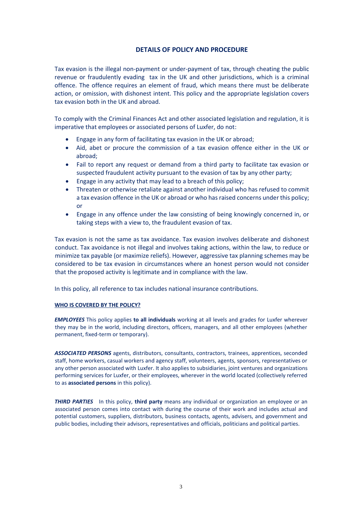# **DETAILS OF POLICY AND PROCEDURE**

Tax evasion is the illegal non-payment or under-payment of tax, through cheating the public revenue or fraudulently evading tax in the UK and other jurisdictions, which is a criminal offence. The offence requires an element of fraud, which means there must be deliberate action, or omission, with dishonest intent. This policy and the appropriate legislation covers tax evasion both in the UK and abroad.

To comply with the Criminal Finances Act and other associated legislation and regulation, it is imperative that employees or associated persons of Luxfer, do not:

- Engage in any form of facilitating tax evasion in the UK or abroad;
- Aid, abet or procure the commission of a tax evasion offence either in the UK or abroad;
- Fail to report any request or demand from a third party to facilitate tax evasion or suspected fraudulent activity pursuant to the evasion of tax by any other party;
- Engage in any activity that may lead to a breach of this policy;
- Threaten or otherwise retaliate against another individual who has refused to commit a tax evasion offence in the UK or abroad or who has raised concerns under this policy; or
- Engage in any offence under the law consisting of being knowingly concerned in, or taking steps with a view to, the fraudulent evasion of tax.

Tax evasion is not the same as tax avoidance. Tax evasion involves deliberate and dishonest conduct. Tax avoidance is not illegal and involves taking actions, within the law, to reduce or minimize tax payable (or maximize reliefs). However, aggressive tax planning schemes may be considered to be tax evasion in circumstances where an honest person would not consider that the proposed activity is legitimate and in compliance with the law.

In this policy, all reference to tax includes national insurance contributions.

#### **WHO IS COVERED BY THE POLICY?**

*EMPLOYEES* This policy applies **to all individuals** working at all levels and grades for Luxfer wherever they may be in the world, including directors, officers, managers, and all other employees (whether permanent, fixed-term or temporary).

*ASSOCIATED PERSONS* agents, distributors, consultants, contractors, trainees, apprentices, seconded staff, home workers, casual workers and agency staff, volunteers, agents, sponsors, representatives or any other person associated with Luxfer. It also applies to subsidiaries, joint ventures and organizations performing services for Luxfer, or their employees, wherever in the world located (collectively referred to as **associated persons** in this policy).

*THIRD PARTIES*In this policy, **third party** means any individual or organization an employee or an associated person comes into contact with during the course of their work and includes actual and potential customers, suppliers, distributors, business contacts, agents, advisers, and government and public bodies, including their advisors, representatives and officials, politicians and political parties.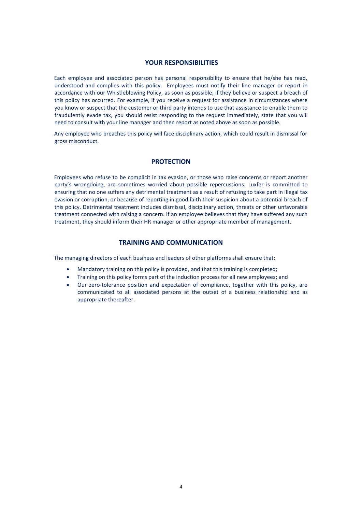#### **YOUR RESPONSIBILITIES**

Each employee and associated person has personal responsibility to ensure that he/she has read, understood and complies with this policy. Employees must notify their line manager or report in accordance with our Whistleblowing Policy, as soon as possible, if they believe or suspect a breach of this policy has occurred. For example, if you receive a request for assistance in circumstances where you know or suspect that the customer or third party intends to use that assistance to enable them to fraudulently evade tax, you should resist responding to the request immediately, state that you will need to consult with your line manager and then report as noted above as soon as possible.

Any employee who breaches this policy will face disciplinary action, which could result in dismissal for gross misconduct.

#### **PROTECTION**

Employees who refuse to be complicit in tax evasion, or those who raise concerns or report another party's wrongdoing, are sometimes worried about possible repercussions. Luxfer is committed to ensuring that no one suffers any detrimental treatment as a result of refusing to take part in illegal tax evasion or corruption, or because of reporting in good faith their suspicion about a potential breach of this policy. Detrimental treatment includes dismissal, disciplinary action, threats or other unfavorable treatment connected with raising a concern. If an employee believes that they have suffered any such treatment, they should inform their HR manager or other appropriate member of management.

## **TRAINING AND COMMUNICATION**

The managing directors of each business and leaders of other platforms shall ensure that:

- Mandatory training on this policy is provided, and that this training is completed;
- Training on this policy forms part of the induction process for all new employees; and
- Our zero-tolerance position and expectation of compliance, together with this policy, are communicated to all associated persons at the outset of a business relationship and as appropriate thereafter.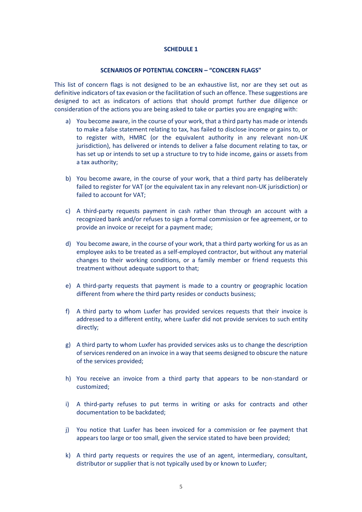## **SCHEDULE 1**

#### **SCENARIOS OF POTENTIAL CONCERN – "CONCERN FLAGS"**

This list of concern flags is not designed to be an exhaustive list, nor are they set out as definitive indicators of tax evasion or the facilitation of such an offence. These suggestions are designed to act as indicators of actions that should prompt further due diligence or consideration of the actions you are being asked to take or parties you are engaging with:

- a) You become aware, in the course of your work, that a third party has made or intends to make a false statement relating to tax, has failed to disclose income or gains to, or to register with, HMRC (or the equivalent authority in any relevant non-UK jurisdiction), has delivered or intends to deliver a false document relating to tax, or has set up or intends to set up a structure to try to hide income, gains or assets from a tax authority;
- b) You become aware, in the course of your work, that a third party has deliberately failed to register for VAT (or the equivalent tax in any relevant non-UK jurisdiction) or failed to account for VAT;
- c) A third-party requests payment in cash rather than through an account with a recognized bank and/or refuses to sign a formal commission or fee agreement, or to provide an invoice or receipt for a payment made;
- d) You become aware, in the course of your work, that a third party working for us as an employee asks to be treated as a self-employed contractor, but without any material changes to their working conditions, or a family member or friend requests this treatment without adequate support to that;
- e) A third-party requests that payment is made to a country or geographic location different from where the third party resides or conducts business;
- f) A third party to whom Luxfer has provided services requests that their invoice is addressed to a different entity, where Luxfer did not provide services to such entity directly;
- g) A third party to whom Luxfer has provided services asks us to change the description of services rendered on an invoice in a way that seems designed to obscure the nature of the services provided;
- h) You receive an invoice from a third party that appears to be non-standard or customized;
- i) A third-party refuses to put terms in writing or asks for contracts and other documentation to be backdated;
- j) You notice that Luxfer has been invoiced for a commission or fee payment that appears too large or too small, given the service stated to have been provided;
- k) A third party requests or requires the use of an agent, intermediary, consultant, distributor or supplier that is not typically used by or known to Luxfer;